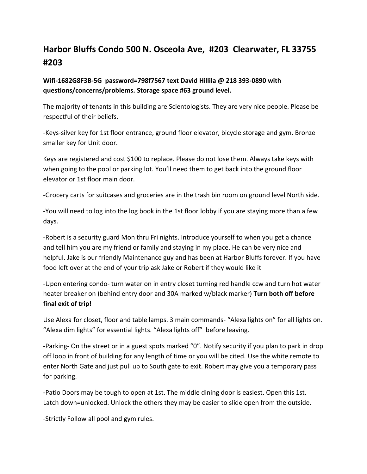# **Harbor Bluffs Condo 500 N. Osceola Ave, #203 Clearwater, FL 33755 #203**

# **Wifi-1682G8F3B-5G password=798f7567 text David Hillila @ 218 393-0890 with questions/concerns/problems. Storage space #63 ground level.**

The majority of tenants in this building are Scientologists. They are very nice people. Please be respectful of their beliefs.

-Keys-silver key for 1st floor entrance, ground floor elevator, bicycle storage and gym. Bronze smaller key for Unit door.

Keys are registered and cost \$100 to replace. Please do not lose them. Always take keys with when going to the pool or parking lot. You'll need them to get back into the ground floor elevator or 1st floor main door.

-Grocery carts for suitcases and groceries are in the trash bin room on ground level North side.

-You will need to log into the log book in the 1st floor lobby if you are staying more than a few days.

-Robert is a security guard Mon thru Fri nights. Introduce yourself to when you get a chance and tell him you are my friend or family and staying in my place. He can be very nice and helpful. Jake is our friendly Maintenance guy and has been at Harbor Bluffs forever. If you have food left over at the end of your trip ask Jake or Robert if they would like it

-Upon entering condo- turn water on in entry closet turning red handle ccw and turn hot water heater breaker on (behind entry door and 30A marked w/black marker) **Turn both off before final exit of trip!**

Use Alexa for closet, floor and table lamps. 3 main commands- "Alexa lights on" for all lights on. "Alexa dim lights" for essential lights. "Alexa lights off" before leaving.

-Parking- On the street or in a guest spots marked "0". Notify security if you plan to park in drop off loop in front of building for any length of time or you will be cited. Use the white remote to enter North Gate and just pull up to South gate to exit. Robert may give you a temporary pass for parking.

-Patio Doors may be tough to open at 1st. The middle dining door is easiest. Open this 1st. Latch down=unlocked. Unlock the others they may be easier to slide open from the outside.

-Strictly Follow all pool and gym rules.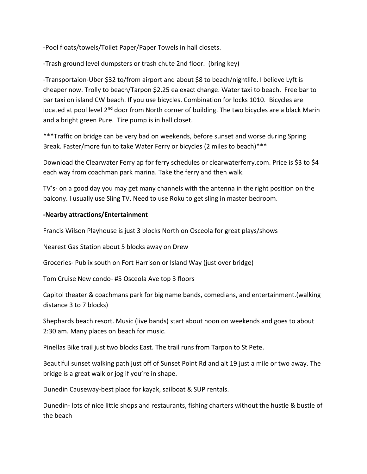-Pool floats/towels/Toilet Paper/Paper Towels in hall closets.

-Trash ground level dumpsters or trash chute 2nd floor. (bring key)

-Transportaion-Uber \$32 to/from airport and about \$8 to beach/nightlife. I believe Lyft is cheaper now. Trolly to beach/Tarpon \$2.25 ea exact change. Water taxi to beach. Free bar to bar taxi on island CW beach. If you use bicycles. Combination for locks 1010. Bicycles are located at pool level 2<sup>nd</sup> door from North corner of building. The two bicycles are a black Marin and a bright green Pure. Tire pump is in hall closet.

\*\*\*Traffic on bridge can be very bad on weekends, before sunset and worse during Spring Break. Faster/more fun to take Water Ferry or bicycles (2 miles to beach)\*\*\*

Download the Clearwater Ferry ap for ferry schedules or clearwaterferry.com. Price is \$3 to \$4 each way from coachman park marina. Take the ferry and then walk.

TV's- on a good day you may get many channels with the antenna in the right position on the balcony. I usually use Sling TV. Need to use Roku to get sling in master bedroom.

## **-Nearby attractions/Entertainment**

Francis Wilson Playhouse is just 3 blocks North on Osceola for great plays/shows

Nearest Gas Station about 5 blocks away on Drew

Groceries- Publix south on Fort Harrison or Island Way (just over bridge)

Tom Cruise New condo- #5 Osceola Ave top 3 floors

Capitol theater & coachmans park for big name bands, comedians, and entertainment.(walking distance 3 to 7 blocks)

Shephards beach resort. Music (live bands) start about noon on weekends and goes to about 2:30 am. Many places on beach for music.

Pinellas Bike trail just two blocks East. The trail runs from Tarpon to St Pete.

Beautiful sunset walking path just off of Sunset Point Rd and alt 19 just a mile or two away. The bridge is a great walk or jog if you're in shape.

Dunedin Causeway-best place for kayak, sailboat & SUP rentals.

Dunedin- lots of nice little shops and restaurants, fishing charters without the hustle & bustle of the beach